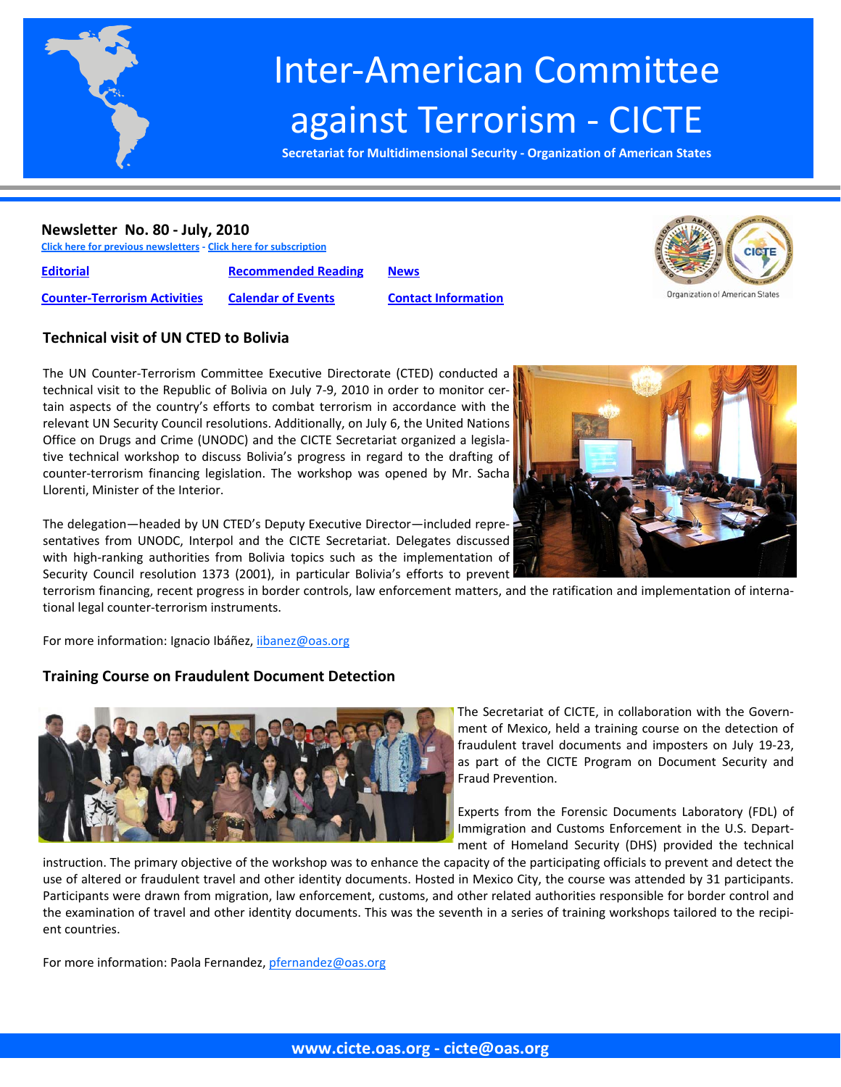

# Inter‐American Committee against Terrorism ‐ CICTE

**Secretariat for Multidimensional Security ‐ Organization of American States**

#### **Newsletter No. 80 ‐ July, 2010**

**Click here for previous [newsletters](http://www.cicte.oas.org/Rev/en/About/Newsletters/Default.asp) ‐ Click here for [subscription](www.cicte.oas.org)**

**[Editorial](#page-1-0) [Recommended](#page-8-0) Reading [News](#page-10-0)**

**Counter‐[Terrorism](#page-3-0) Activities [Calendar](#page-9-0) of Events Contact [Information](#page-13-0)**



#### **Technical visit of UN CTED to Bolivia**

The UN Counter‐Terrorism Committee Executive Directorate (CTED) conducted a technical visit to the Republic of Bolivia on July 7‐9, 2010 in order to monitor cer‐ tain aspects of the country's efforts to combat terrorism in accordance with the relevant UN Security Council resolutions. Additionally, on July 6, the United Nations Office on Drugs and Crime (UNODC) and the CICTE Secretariat organized a legisla‐ tive technical workshop to discuss Bolivia's progress in regard to the drafting of counter-terrorism financing legislation. The workshop was opened by Mr. Sacha Llorenti, Minister of the Interior.



The delegation—headed by UN CTED's Deputy Executive Director—included repre‐ sentatives from UNODC, Interpol and the CICTE Secretariat. Delegates discussed with high-ranking authorities from Bolivia topics such as the implementation of Security Council resolution 1373 (2001), in particular Bolivia's efforts to prevent

terrorism financing, recent progress in border controls, law enforcement matters, and the ratification and implementation of interna‐ tional legal counter‐terrorism instruments.

For more information: Ignacio Ibáñez, iibanez@oas.org

## **Training Course on Fraudulent Document Detection**



The Secretariat of CICTE, in collaboration with the Govern‐ ment of Mexico, held a training course on the detection of fraudulent travel documents and imposters on July 19‐23, as part of the CICTE Program on Document Security and Fraud Prevention.

Experts from the Forensic Documents Laboratory (FDL) of Immigration and Customs Enforcement in the U.S. Depart‐ ment of Homeland Security (DHS) provided the technical

instruction. The primary objective of the workshop was to enhance the capacity of the participating officials to prevent and detect the use of altered or fraudulent travel and other identity documents. Hosted in Mexico City, the course was attended by 31 participants. Participants were drawn from migration, law enforcement, customs, and other related authorities responsible for border control and the examination of travel and other identity documents. This was the seventh in a series of training workshops tailored to the recipient countries.

For more information: Paola Fernandez, pfernandez@oas.org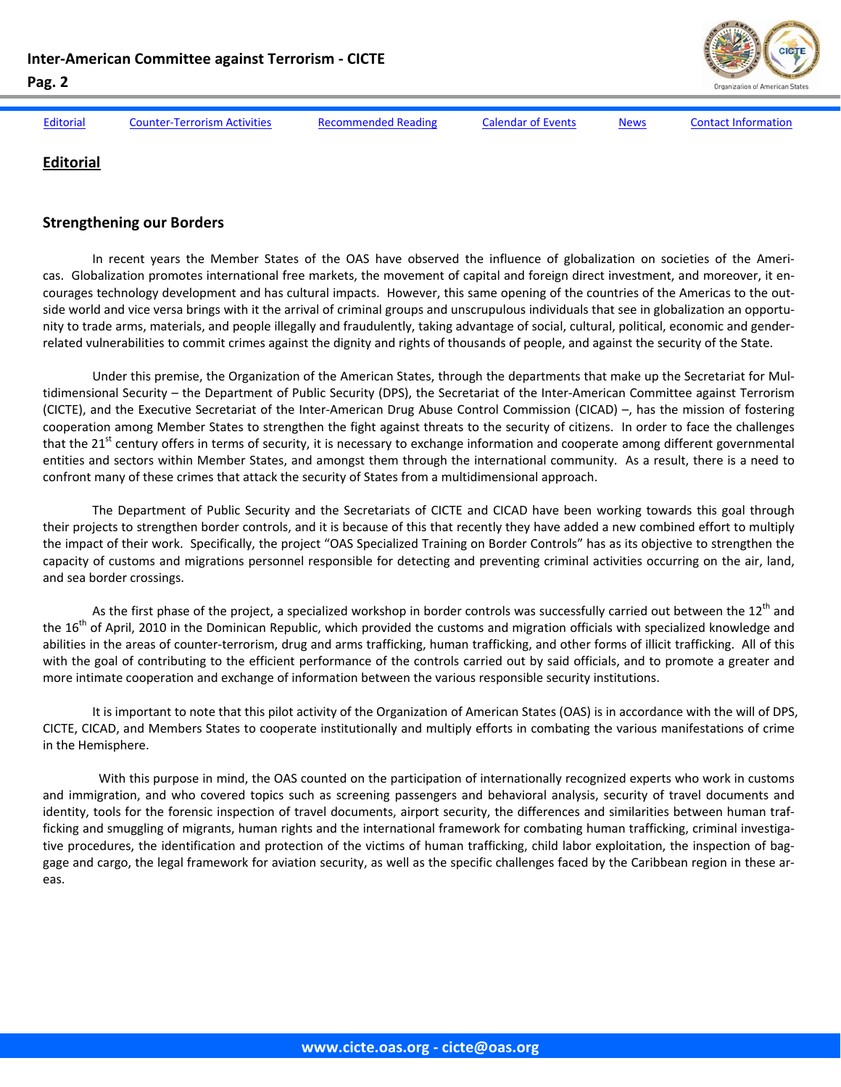<span id="page-1-0"></span>

| inter-American Committee against Terrorism - CicTE<br>Pag. 2 | Organization of American States     |                            |                           |             |                            |
|--------------------------------------------------------------|-------------------------------------|----------------------------|---------------------------|-------------|----------------------------|
|                                                              |                                     |                            |                           |             |                            |
| Editorial                                                    | <b>Counter-Terrorism Activities</b> | <b>Recommended Reading</b> | <b>Calendar of Events</b> | <b>News</b> | <b>Contact Information</b> |

## **Editorial**

#### **Strengthening our Borders**

In recent years the Member States of the OAS have observed the influence of globalization on societies of the Americas. Globalization promotes international free markets, the movement of capital and foreign direct investment, and moreover, it en‐ courages technology development and has cultural impacts. However, this same opening of the countries of the Americas to the outside world and vice versa brings with it the arrival of criminal groups and unscrupulous individuals that see in globalization an opportunity to trade arms, materials, and people illegally and fraudulently, taking advantage of social, cultural, political, economic and gender‐ related vulnerabilities to commit crimes against the dignity and rights of thousands of people, and against the security of the State.

Under this premise, the Organization of the American States, through the departments that make up the Secretariat for Mul‐ tidimensional Security – the Department of Public Security (DPS), the Secretariat of the Inter-American Committee against Terrorism (CICTE), and the Executive Secretariat of the Inter‐American Drug Abuse Control Commission (CICAD) –, has the mission of fostering cooperation among Member States to strengthen the fight against threats to the security of citizens. In order to face the challenges that the 21<sup>st</sup> century offers in terms of security, it is necessary to exchange information and cooperate among different governmental entities and sectors within Member States, and amongst them through the international community. As a result, there is a need to confront many of these crimes that attack the security of States from a multidimensional approach.

The Department of Public Security and the Secretariats of CICTE and CICAD have been working towards this goal through their projects to strengthen border controls, and it is because of this that recently they have added a new combined effort to multiply the impact of their work. Specifically, the project "OAS Specialized Training on Border Controls" has as its objective to strengthen the capacity of customs and migrations personnel responsible for detecting and preventing criminal activities occurring on the air, land, and sea border crossings.

As the first phase of the project, a specialized workshop in border controls was successfully carried out between the  $12<sup>th</sup>$  and the  $16<sup>th</sup>$  of April, 2010 in the Dominican Republic, which provided the customs and migration officials with specialized knowledge and abilities in the areas of counter‐terrorism, drug and arms trafficking, human trafficking, and other forms of illicit trafficking. All of this with the goal of contributing to the efficient performance of the controls carried out by said officials, and to promote a greater and more intimate cooperation and exchange of information between the various responsible security institutions.

It is important to note that this pilot activity of the Organization of American States (OAS) is in accordance with the will of DPS, CICTE, CICAD, and Members States to cooperate institutionally and multiply efforts in combating the various manifestations of crime in the Hemisphere.

 With this purpose in mind, the OAS counted on the participation of internationally recognized experts who work in customs and immigration, and who covered topics such as screening passengers and behavioral analysis, security of travel documents and identity, tools for the forensic inspection of travel documents, airport security, the differences and similarities between human trafficking and smuggling of migrants, human rights and the international framework for combating human trafficking, criminal investigative procedures, the identification and protection of the victims of human trafficking, child labor exploitation, the inspection of baggage and cargo, the legal framework for aviation security, as well as the specific challenges faced by the Caribbean region in these ar‐ eas.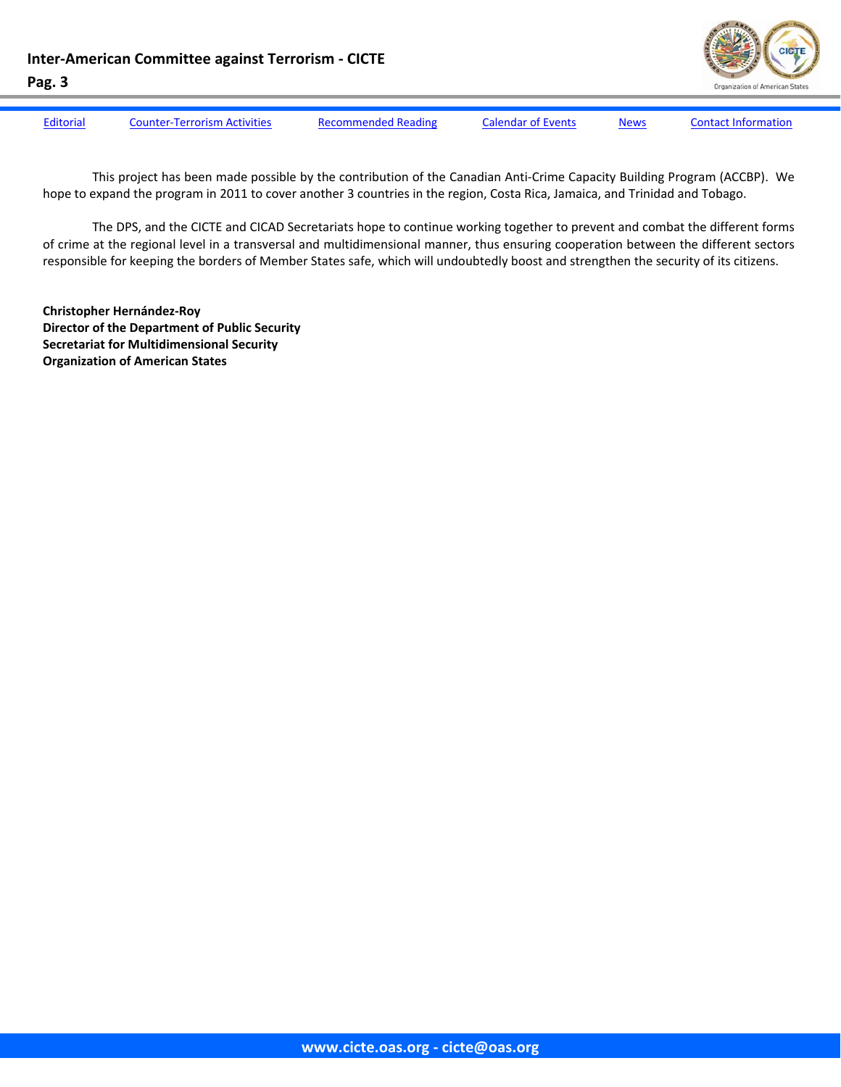**Inter‐American Committee against Terrorism ‐ CICTE**



**Pag. 3** [Editorial](#page-1-0) Counter-[Terrorism](#page-3-0) Activities [Recommended](#page-8-0) Reading [Calendar](#page-9-0) of Events [News](#page-10-0) Contact [Information](#page-13-0)

This project has been made possible by the contribution of the Canadian Anti‐Crime Capacity Building Program (ACCBP). We hope to expand the program in 2011 to cover another 3 countries in the region, Costa Rica, Jamaica, and Trinidad and Tobago.

The DPS, and the CICTE and CICAD Secretariats hope to continue working together to prevent and combat the different forms of crime at the regional level in a transversal and multidimensional manner, thus ensuring cooperation between the different sectors responsible for keeping the borders of Member States safe, which will undoubtedly boost and strengthen the security of its citizens.

**Christopher Hernández‐Roy Director of the Department of Public Security Secretariat for Multidimensional Security Organization of American States**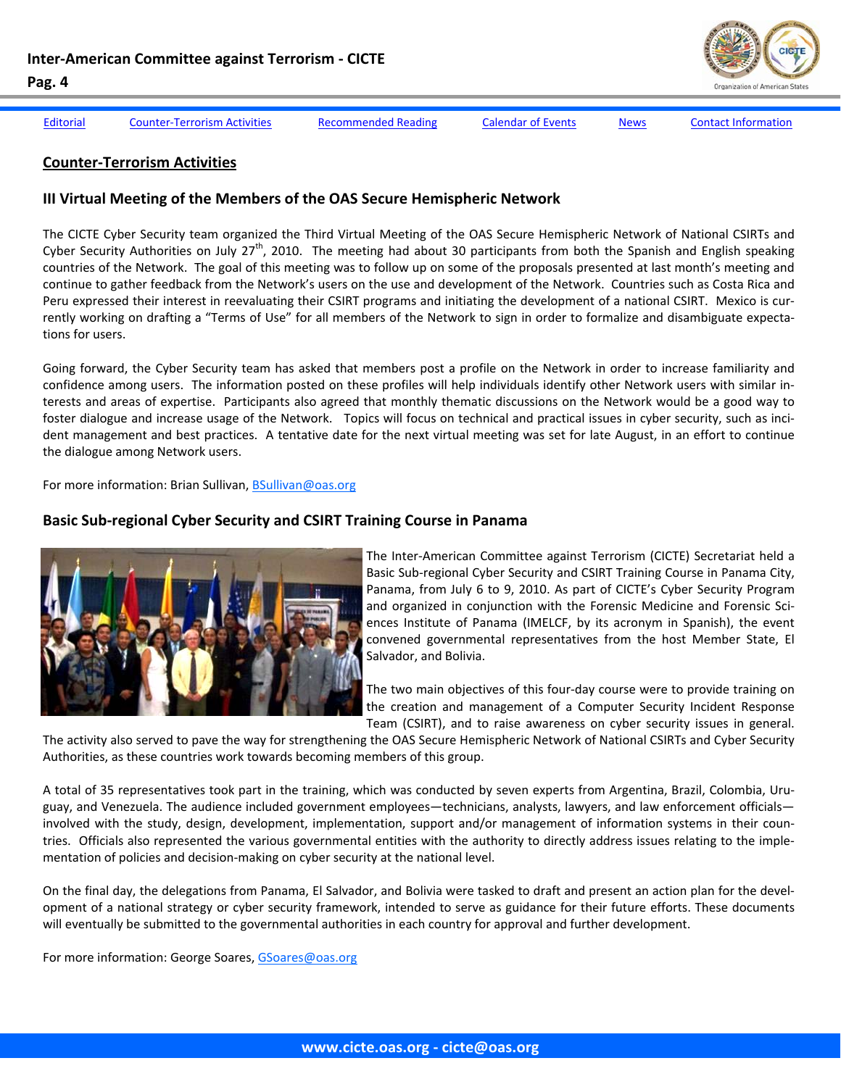

<span id="page-3-0"></span>[Editorial](#page-1-0) Counter-Terrorism Activities [Recommended](#page-8-0) Reading [Calendar](#page-9-0) of Events [News](#page-10-0) Contact [Information](#page-13-0)

#### **Counter‐Terrorism Activities**

#### **III Virtual Meeting of the Members of the OAS Secure Hemispheric Network**

The CICTE Cyber Security team organized the Third Virtual Meeting of the OAS Secure Hemispheric Network of National CSIRTs and Cyber Security Authorities on July 27<sup>th</sup>, 2010. The meeting had about 30 participants from both the Spanish and English speaking countries of the Network. The goal of this meeting was to follow up on some of the proposals presented at last month's meeting and continue to gather feedback from the Network's users on the use and development of the Network. Countries such as Costa Rica and Peru expressed their interest in reevaluating their CSIRT programs and initiating the development of a national CSIRT. Mexico is currently working on drafting a "Terms of Use" for all members of the Network to sign in order to formalize and disambiguate expecta‐ tions for users.

Going forward, the Cyber Security team has asked that members post a profile on the Network in order to increase familiarity and confidence among users. The information posted on these profiles will help individuals identify other Network users with similar in‐ terests and areas of expertise. Participants also agreed that monthly thematic discussions on the Network would be a good way to foster dialogue and increase usage of the Network. Topics will focus on technical and practical issues in cyber security, such as incident management and best practices. A tentative date for the next virtual meeting was set for late August, in an effort to continue the dialogue among Network users.

For more information: Brian Sullivan, BSullivan@oas.org

## **Basic Sub‐regional Cyber Security and CSIRT Training Course in Panama**



The Inter‐American Committee against Terrorism (CICTE) Secretariat held a Basic Sub‐regional Cyber Security and CSIRT Training Course in Panama City, Panama, from July 6 to 9, 2010. As part of CICTE's Cyber Security Program and organized in conjunction with the Forensic Medicine and Forensic Sciences Institute of Panama (IMELCF, by its acronym in Spanish), the event convened governmental representatives from the host Member State, El Salvador, and Bolivia.

The two main objectives of this four-day course were to provide training on the creation and management of a Computer Security Incident Response Team (CSIRT), and to raise awareness on cyber security issues in general.

The activity also served to pave the way for strengthening the OAS Secure Hemispheric Network of National CSIRTs and Cyber Security Authorities, as these countries work towards becoming members of this group.

A total of 35 representatives took part in the training, which was conducted by seven experts from Argentina, Brazil, Colombia, Uru‐ guay, and Venezuela. The audience included government employees—technicians, analysts, lawyers, and law enforcement officials involved with the study, design, development, implementation, support and/or management of information systems in their countries. Officials also represented the various governmental entities with the authority to directly address issues relating to the imple‐ mentation of policies and decision‐making on cyber security at the national level.

On the final day, the delegations from Panama, El Salvador, and Bolivia were tasked to draft and present an action plan for the devel‐ opment of a national strategy or cyber security framework, intended to serve as guidance for their future efforts. These documents will eventually be submitted to the governmental authorities in each country for approval and further development.

For more information: George Soares, GSoares@oas.org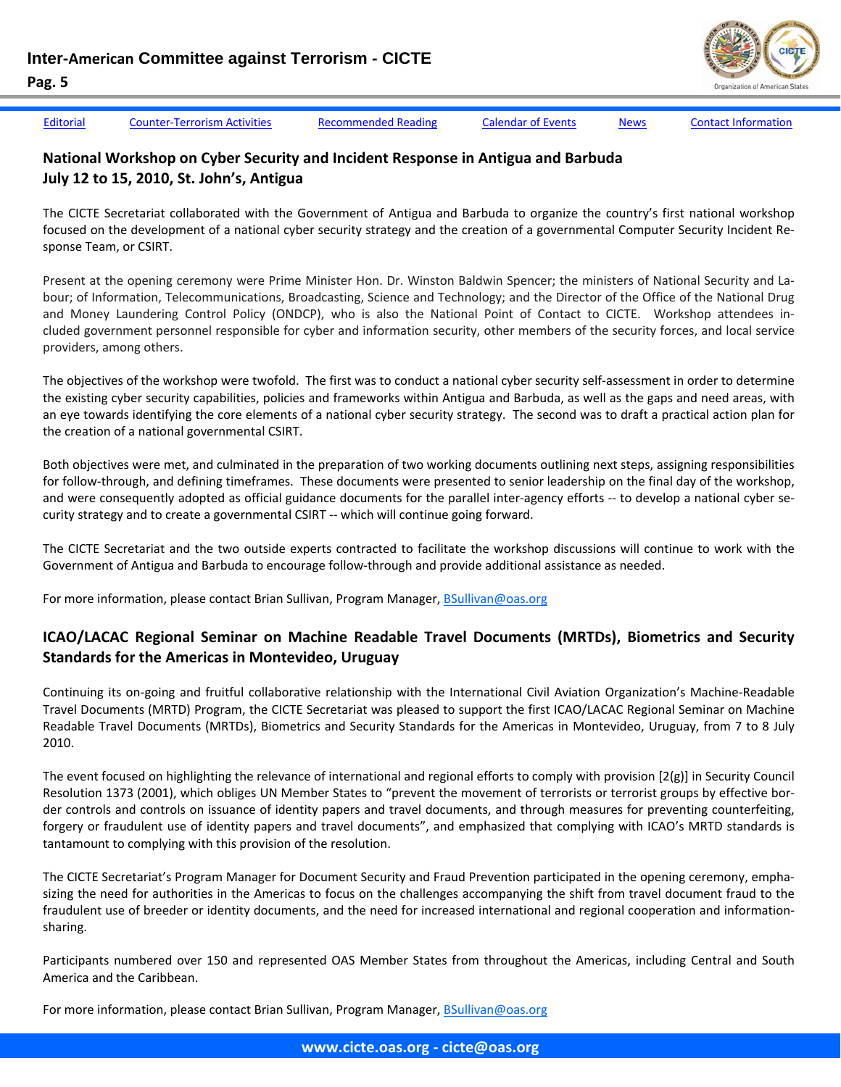[Editorial](#page-1-0) Counter-[Terrorism](#page-3-0) Activities [Recommended](#page-8-0) Reading [Calendar](#page-9-0) of Events [News](#page-10-0) Contact [Information](#page-13-0)

## **National Workshop on Cyber Security and Incident Response in Antigua and Barbuda July 12 to 15, 2010, St. John's, Antigua**

The CICTE Secretariat collaborated with the Government of Antigua and Barbuda to organize the country's first national workshop focused on the development of a national cyber security strategy and the creation of a governmental Computer Security Incident Re‐ sponse Team, or CSIRT.

Present at the opening ceremony were Prime Minister Hon. Dr. Winston Baldwin Spencer; the ministers of National Security and La‐ bour; of Information, Telecommunications, Broadcasting, Science and Technology; and the Director of the Office of the National Drug and Money Laundering Control Policy (ONDCP), who is also the National Point of Contact to CICTE. Workshop attendees included government personnel responsible for cyber and information security, other members of the security forces, and local service providers, among others.

The objectives of the workshop were twofold. The first was to conduct a national cyber security self‐assessment in order to determine the existing cyber security capabilities, policies and frameworks within Antigua and Barbuda, as well as the gaps and need areas, with an eye towards identifying the core elements of a national cyber security strategy. The second was to draft a practical action plan for the creation of a national governmental CSIRT.

Both objectives were met, and culminated in the preparation of two working documents outlining next steps, assigning responsibilities for follow-through, and defining timeframes. These documents were presented to senior leadership on the final day of the workshop, and were consequently adopted as official guidance documents for the parallel inter-agency efforts -- to develop a national cyber security strategy and to create a governmental CSIRT ‐‐ which will continue going forward.

The CICTE Secretariat and the two outside experts contracted to facilitate the workshop discussions will continue to work with the Government of Antigua and Barbuda to encourage follow‐through and provide additional assistance as needed.

For more information, please contact Brian Sullivan, Program Manager, BSullivan@oas.org

## **ICAO/LACAC Regional Seminar on Machine Readable Travel Documents (MRTDs), Biometrics and Security Standards for the Americas in Montevideo, Uruguay**

Continuing its on‐going and fruitful collaborative relationship with the International Civil Aviation Organization's Machine‐Readable Travel Documents (MRTD) Program, the CICTE Secretariat was pleased to support the first ICAO/LACAC Regional Seminar on Machine Readable Travel Documents (MRTDs), Biometrics and Security Standards for the Americas in Montevideo, Uruguay, from 7 to 8 July 2010.

The event focused on highlighting the relevance of international and regional efforts to comply with provision [2(g)] in Security Council Resolution 1373 (2001), which obliges UN Member States to "prevent the movement of terrorists or terrorist groups by effective border controls and controls on issuance of identity papers and travel documents, and through measures for preventing counterfeiting, forgery or fraudulent use of identity papers and travel documents", and emphasized that complying with ICAO's MRTD standards is tantamount to complying with this provision of the resolution.

The CICTE Secretariat's Program Manager for Document Security and Fraud Prevention participated in the opening ceremony, empha‐ sizing the need for authorities in the Americas to focus on the challenges accompanying the shift from travel document fraud to the fraudulent use of breeder or identity documents, and the need for increased international and regional cooperation and information‐ sharing.

Participants numbered over 150 and represented OAS Member States from throughout the Americas, including Central and South America and the Caribbean.

For more information, please contact Brian Sullivan, Program Manager, BSullivan@oas.org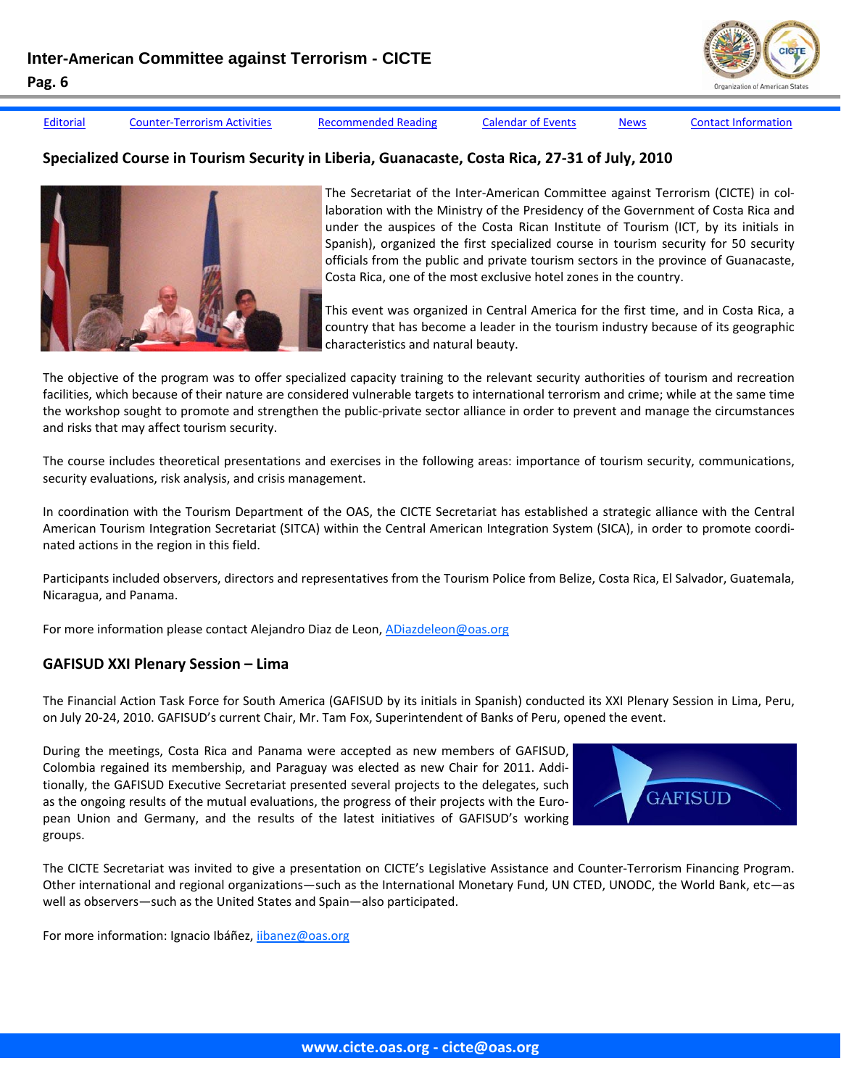

[Editorial](#page-1-0) Counter-[Terrorism](#page-3-0) Activities [Recommended](#page-8-0) Reading [Calendar](#page-9-0) of Events [News](#page-10-0) Contact [Information](#page-13-0)

## **Specialized Course in Tourism Security in Liberia, Guanacaste, Costa Rica, 27‐31 of July, 2010**



The Secretariat of the Inter-American Committee against Terrorism (CICTE) in collaboration with the Ministry of the Presidency of the Government of Costa Rica and under the auspices of the Costa Rican Institute of Tourism (ICT, by its initials in Spanish), organized the first specialized course in tourism security for 50 security officials from the public and private tourism sectors in the province of Guanacaste, Costa Rica, one of the most exclusive hotel zones in the country.

This event was organized in Central America for the first time, and in Costa Rica, a country that has become a leader in the tourism industry because of its geographic characteristics and natural beauty.

The objective of the program was to offer specialized capacity training to the relevant security authorities of tourism and recreation facilities, which because of their nature are considered vulnerable targets to international terrorism and crime; while at the same time the workshop sought to promote and strengthen the public‐private sector alliance in order to prevent and manage the circumstances and risks that may affect tourism security.

The course includes theoretical presentations and exercises in the following areas: importance of tourism security, communications, security evaluations, risk analysis, and crisis management.

In coordination with the Tourism Department of the OAS, the CICTE Secretariat has established a strategic alliance with the Central American Tourism Integration Secretariat (SITCA) within the Central American Integration System (SICA), in order to promote coordi‐ nated actions in the region in this field.

Participants included observers, directors and representatives from the Tourism Police from Belize, Costa Rica, El Salvador, Guatemala, Nicaragua, and Panama.

For more information please contact Alejandro Diaz de Leon, ADiazdeleon@oas.org

## **GAFISUD XXI Plenary Session – Lima**

The Financial Action Task Force for South America (GAFISUD by its initials in Spanish) conducted its XXI Plenary Session in Lima, Peru, on July 20‐24, 2010. GAFISUD's current Chair, Mr. Tam Fox, Superintendent of Banks of Peru, opened the event.

During the meetings, Costa Rica and Panama were accepted as new members of GAFISUD, Colombia regained its membership, and Paraguay was elected as new Chair for 2011. Addi‐ tionally, the GAFISUD Executive Secretariat presented several projects to the delegates, such as the ongoing results of the mutual evaluations, the progress of their projects with the European Union and Germany, and the results of the latest initiatives of GAFISUD's working groups.



The CICTE Secretariat was invited to give a presentation on CICTE's Legislative Assistance and Counter‐Terrorism Financing Program. Other international and regional organizations—such as the International Monetary Fund, UN CTED, UNODC, the World Bank, etc—as well as observers—such as the United States and Spain—also participated.

For more information: Ignacio Ibáñez, iibanez@oas.org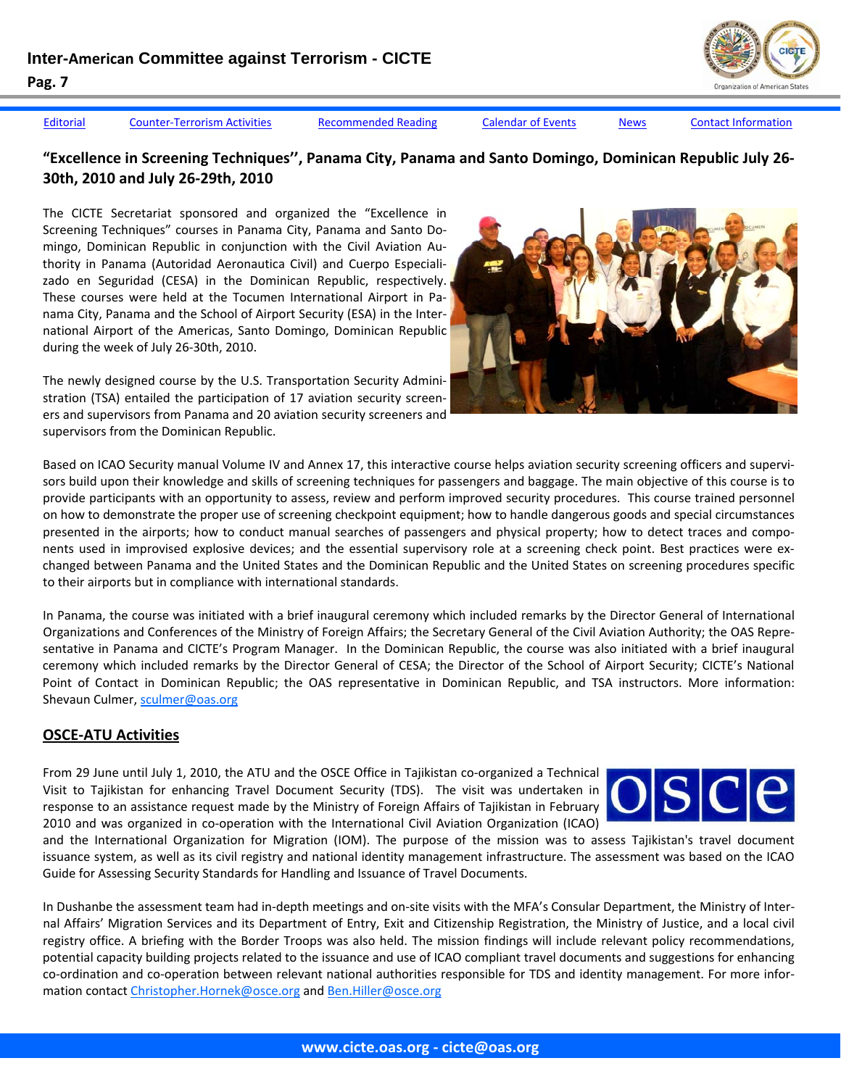

[Editorial](#page-1-0) Counter-[Terrorism](#page-3-0) Activities [Recommended](#page-8-0) Reading [Calendar](#page-9-0) of Events [News](#page-10-0) Contact [Information](#page-13-0)

### **"Excellence in Screening Techniques'', Panama City, Panama and Santo Domingo, Dominican Republic July 26‐ 30th, 2010 and July 26‐29th, 2010**

The CICTE Secretariat sponsored and organized the "Excellence in Screening Techniques" courses in Panama City, Panama and Santo Do‐ mingo, Dominican Republic in conjunction with the Civil Aviation Au‐ thority in Panama (Autoridad Aeronautica Civil) and Cuerpo Especiali‐ zado en Seguridad (CESA) in the Dominican Republic, respectively. These courses were held at the Tocumen International Airport in Pa‐ nama City, Panama and the School of Airport Security (ESA) in the Inter‐ national Airport of the Americas, Santo Domingo, Dominican Republic during the week of July 26‐30th, 2010.

The newly designed course by the U.S. Transportation Security Admini‐ stration (TSA) entailed the participation of 17 aviation security screen‐ ers and supervisors from Panama and 20 aviation security screeners and supervisors from the Dominican Republic.



Based on ICAO Security manual Volume IV and Annex 17, this interactive course helps aviation security screening officers and supervisors build upon their knowledge and skills of screening techniques for passengers and baggage. The main objective of this course is to provide participants with an opportunity to assess, review and perform improved security procedures. This course trained personnel on how to demonstrate the proper use of screening checkpoint equipment; how to handle dangerous goods and special circumstances presented in the airports; how to conduct manual searches of passengers and physical property; how to detect traces and compo‐ nents used in improvised explosive devices; and the essential supervisory role at a screening check point. Best practices were ex‐ changed between Panama and the United States and the Dominican Republic and the United States on screening procedures specific to their airports but in compliance with international standards.

In Panama, the course was initiated with a brief inaugural ceremony which included remarks by the Director General of International Organizations and Conferences of the Ministry of Foreign Affairs; the Secretary General of the Civil Aviation Authority; the OAS Repre‐ sentative in Panama and CICTE's Program Manager. In the Dominican Republic, the course was also initiated with a brief inaugural ceremony which included remarks by the Director General of CESA; the Director of the School of Airport Security; CICTE's National Point of Contact in Dominican Republic; the OAS representative in Dominican Republic, and TSA instructors. More information: Shevaun Culmer, sculmer@oas.org

## **OSCE‐ATU Activities**

From 29 June until July 1, 2010, the ATU and the OSCE Office in Tajikistan co-organized a Technical Visit to Tajikistan for enhancing Travel Document Security (TDS). The visit was undertaken in response to an assistance request made by the Ministry of Foreign Affairs of Tajikistan in February 2010 and was organized in co-operation with the International Civil Aviation Organization (ICAO)



and the International Organization for Migration (IOM). The purpose of the mission was to assess Tajikistan's travel document issuance system, as well as its civil registry and national identity management infrastructure. The assessment was based on the ICAO Guide for Assessing Security Standards for Handling and Issuance of Travel Documents.

In Dushanbe the assessment team had in-depth meetings and on-site visits with the MFA's Consular Department, the Ministry of Internal Affairs' Migration Services and its Department of Entry, Exit and Citizenship Registration, the Ministry of Justice, and a local civil registry office. A briefing with the Border Troops was also held. The mission findings will include relevant policy recommendations, potential capacity building projects related to the issuance and use of ICAO compliant travel documents and suggestions for enhancing co-ordination and co-operation between relevant national authorities responsible for TDS and identity management. For more information contact Christopher.Hornek@osce.org and Ben.Hiller@osce.org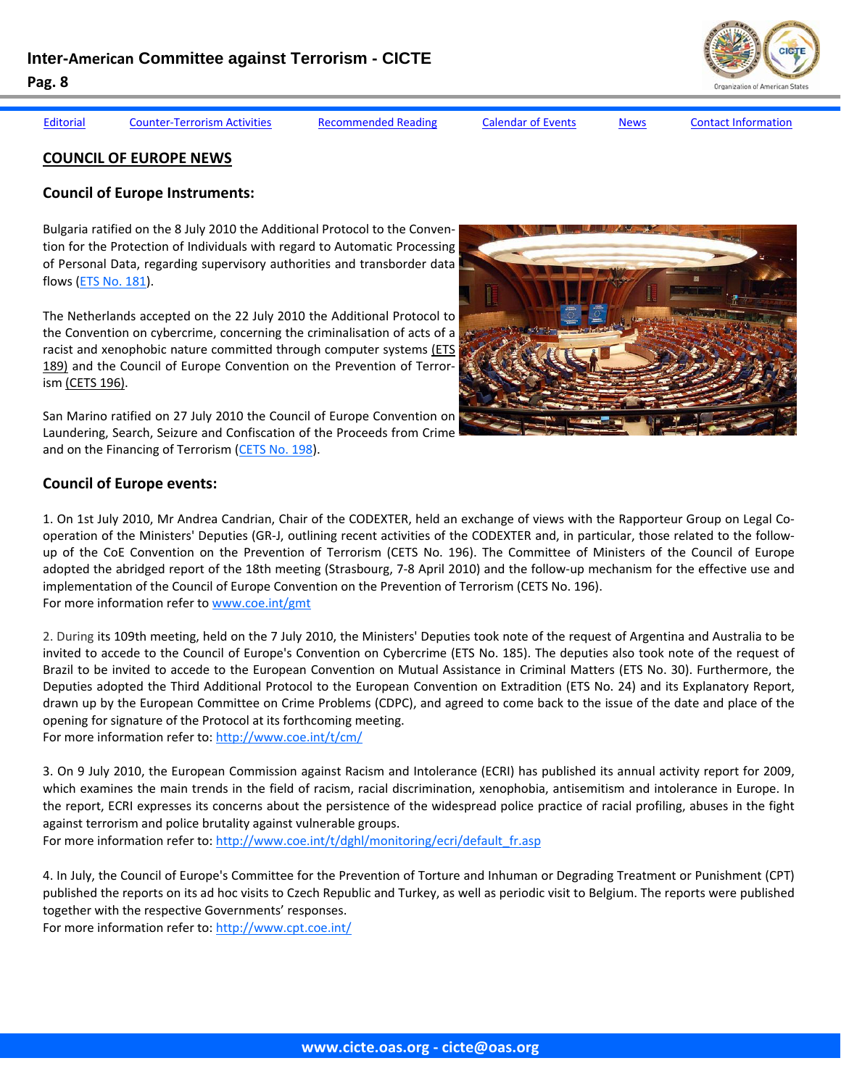[Editorial](#page-1-0) Counter-[Terrorism](#page-3-0) Activities [Recommended](#page-8-0) Reading [Calendar](#page-9-0) of Events [News](#page-10-0) Contact [Information](#page-13-0)

**COUNCIL OF EUROPE NEWS**

## **Council of Europe Instruments:**

Bulgaria ratified on the 8 July 2010 the Additional Protocol to the Conven‐ tion for the Protection of Individuals with regard to Automatic Processing of Personal Data, regarding supervisory authorities and transborder data flows (ETS No. 181).

The Netherlands accepted on the 22 July 2010 the Additional Protocol to the Convention on cybercrime, concerning the criminalisation of acts of a racist and xenophobic nature committed through computer systems (ETS 189) and the Council of Europe Convention on the Prevention of Terror‐ ism (CETS 196).

San Marino ratified on 27 July 2010 the Council of Europe Convention on Laundering, Search, Seizure and Confiscation of the Proceeds from Crime and on the Financing of Terrorism (CETS No. 198).

## **Council of Europe events:**

1. On 1st July 2010, Mr Andrea Candrian, Chair of the CODEXTER, held an exchange of views with the Rapporteur Group on Legal Co‐ operation of the Ministers' Deputies (GR‐J, outlining recent activities of the CODEXTER and, in particular, those related to the follow‐ up of the CoE Convention on the Prevention of Terrorism (CETS No. 196). The Committee of Ministers of the Council of Europe adopted the abridged report of the 18th meeting (Strasbourg, 7‐8 April 2010) and the follow‐up mechanism for the effective use and implementation of the Council of Europe Convention on the Prevention of Terrorism (CETS No. 196). For more information refer to www.coe.int/gmt

2. During its 109th meeting, held on the 7 July 2010, the Ministers' Deputies took note of the request of Argentina and Australia to be invited to accede to the Council of Europe's Convention on Cybercrime (ETS No. 185). The deputies also took note of the request of Brazil to be invited to accede to the European Convention on Mutual Assistance in Criminal Matters (ETS No. 30). Furthermore, the Deputies adopted the Third Additional Protocol to the European Convention on Extradition (ETS No. 24) and its Explanatory Report, drawn up by the European Committee on Crime Problems (CDPC), and agreed to come back to the issue of the date and place of the opening for signature of the Protocol at its forthcoming meeting.

For more information refer to: http://www.coe.int/t/cm/

3. On 9 July 2010, the European Commission against Racism and Intolerance (ECRI) has published its annual activity report for 2009, which examines the main trends in the field of racism, racial discrimination, xenophobia, antisemitism and intolerance in Europe. In the report, ECRI expresses its concerns about the persistence of the widespread police practice of racial profiling, abuses in the fight against terrorism and police brutality against vulnerable groups.

For more information refer to: http://www.coe.int/t/dghl/monitoring/ecri/default\_fr.asp

4. In July, the Council of Europe's Committee for the Prevention of Torture and Inhuman or Degrading Treatment or Punishment (CPT) published the reports on its ad hoc visits to Czech Republic and Turkey, as well as periodic visit to Belgium. The reports were published together with the respective Governments' responses.

For more information refer to: http://www.cpt.coe.int/



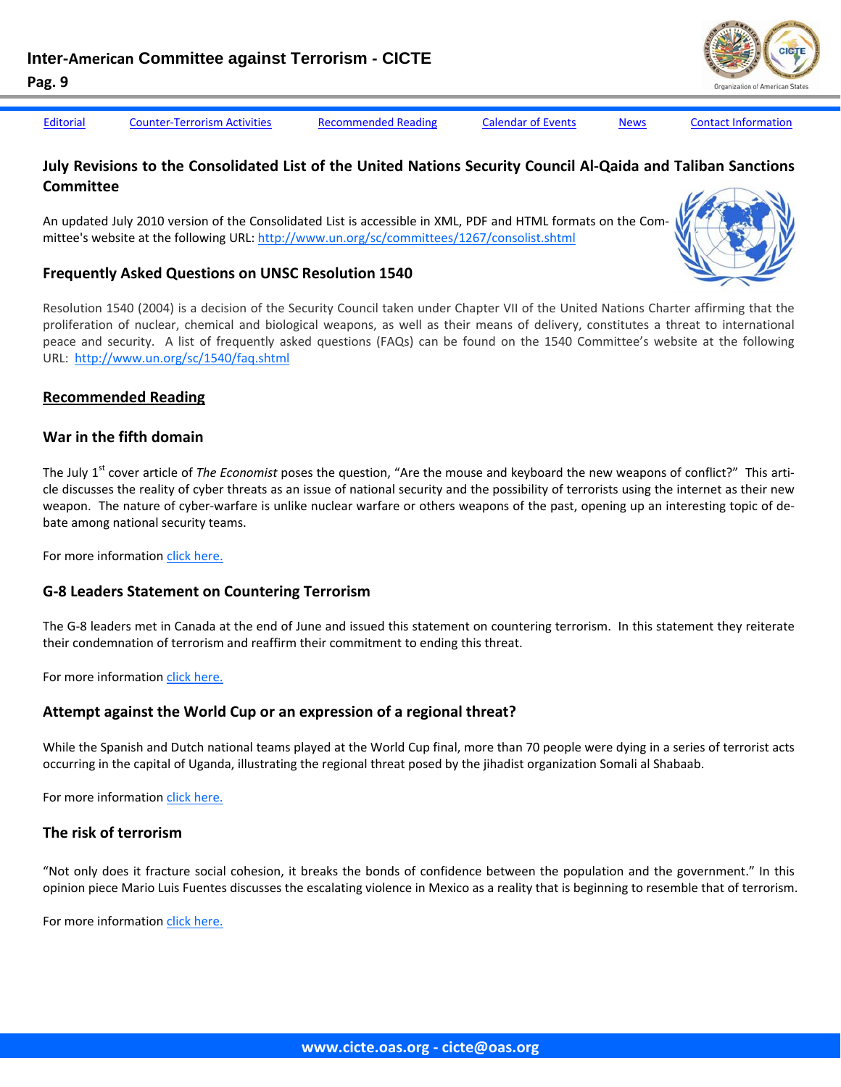<span id="page-8-0"></span>

[Editorial](#page-1-0) Counter-[Terrorism](#page-3-0) Activities Recommended Reading [Calendar](#page-9-0) of Events [News](#page-10-0) Contact [Information](#page-13-0)

## July Revisions to the Consolidated List of the United Nations Security Council Al-Qaida and Taliban Sanctions **Committee**

An updated July 2010 version of the Consolidated List is accessible in XML, PDF and HTML formats on the Com‐ mittee's website at the following URL: http://www.un.org/sc/committees/1267/consolist.shtml

#### **Frequently Asked Questions on UNSC Resolution 1540**

Resolution 1540 (2004) is a decision of the Security Council taken under Chapter VII of the United Nations Charter affirming that the proliferation of nuclear, chemical and biological weapons, as well as their means of delivery, constitutes a threat to international peace and security. A list of frequently asked questions (FAQs) can be found on the 1540 Committee's website at the following URL: http://www.un.org/sc/1540/faq.shtml

#### **Recommended Reading**

#### **War in the fifth domain**

The July 1<sup>st</sup> cover article of *The Economist* poses the question, "Are the mouse and keyboard the new weapons of conflict?" This article discusses the reality of cyber threats as an issue of national security and the possibility of terrorists using the internet as their new weapon. The nature of cyber-warfare is unlike nuclear warfare or others weapons of the past, opening up an interesting topic of debate among national security teams.

For more information click [here.](http://www.economist.com/node/16478792)

#### **G‐8 Leaders Statement on Countering Terrorism**

The G-8 leaders met in Canada at the end of June and issued this statement on countering terrorism. In this statement they reiterate their condemnation of terrorism and reaffirm their commitment to ending this threat.

For more information click [here.](http://g8.gc.ca/9938/g-8-leaders-statement-on-countering-terrorism/)

#### **Attempt against the World Cup or an expression of a regional threat?**

While the Spanish and Dutch national teams played at the World Cup final, more than 70 people were dying in a series of terrorist acts occurring in the capital of Uganda, illustrating the regional threat posed by the jihadist organization Somali al Shabaab.

For more information click [here.](http://www.realinstitutoelcano.org/wps/portal/rielcano/contenido?WCM_GLOBAL_CONTEXT=/elcano/elcano_es/zonas_es/terrorismo+internacional/ari119-2010)

#### **The risk of terrorism**

"Not only does it fracture social cohesion, it breaks the bonds of confidence between the population and the government." In this opinion piece Mario Luis Fuentes discusses the escalating violence in Mexico as a reality that is beginning to resemble that of terrorism.

For more information click [here.](http://www.excelsior.com.mx/index.php?m=nota&buscado=1&id_nota=638300)



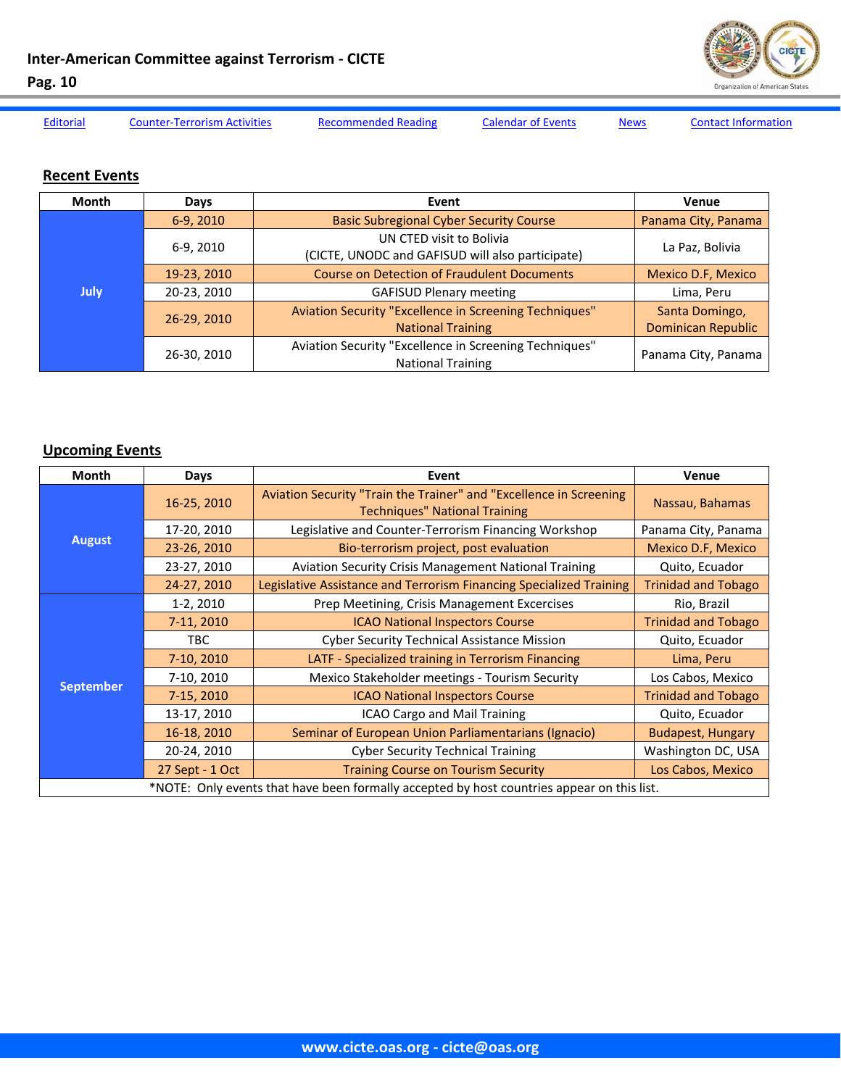

<span id="page-9-0"></span>[Editorial](#page-1-0) Counter-[Terrorism](#page-3-0) Activities [Recommended](#page-8-0) Reading Calendar of Events [News](#page-10-0) Contact [Information](#page-13-0)

## **Recent Events**

| Month       | Days                                                                                              | Event                                                                              | Venue                                       |
|-------------|---------------------------------------------------------------------------------------------------|------------------------------------------------------------------------------------|---------------------------------------------|
| <b>July</b> | 6-9, 2010                                                                                         | <b>Basic Subregional Cyber Security Course</b>                                     | Panama City, Panama                         |
|             | 6-9, 2010                                                                                         | UN CTED visit to Bolivia<br>(CICTE, UNODC and GAFISUD will also participate)       | La Paz, Bolivia                             |
|             | 19-23, 2010                                                                                       | <b>Course on Detection of Fraudulent Documents</b>                                 | <b>Mexico D.F, Mexico</b>                   |
|             | 20-23, 2010                                                                                       | <b>GAFISUD Plenary meeting</b>                                                     | Lima, Peru                                  |
|             | Aviation Security "Excellence in Screening Techniques"<br>26-29, 2010<br><b>National Training</b> |                                                                                    | Santa Domingo,<br><b>Dominican Republic</b> |
|             | 26-30, 2010                                                                                       | Aviation Security "Excellence in Screening Techniques"<br><b>National Training</b> | Panama City, Panama                         |

## **Upcoming Events**

| <b>Month</b>                                                                               | Days            | Event                                                                                                      | Venue                      |  |  |
|--------------------------------------------------------------------------------------------|-----------------|------------------------------------------------------------------------------------------------------------|----------------------------|--|--|
|                                                                                            | 16-25, 2010     | Aviation Security "Train the Trainer" and "Excellence in Screening<br><b>Techniques" National Training</b> | Nassau, Bahamas            |  |  |
|                                                                                            | 17-20, 2010     | Legislative and Counter-Terrorism Financing Workshop                                                       | Panama City, Panama        |  |  |
| <b>August</b>                                                                              | 23-26, 2010     | Bio-terrorism project, post evaluation                                                                     | <b>Mexico D.F, Mexico</b>  |  |  |
|                                                                                            | 23-27, 2010     | <b>Aviation Security Crisis Management National Training</b>                                               | Quito, Ecuador             |  |  |
|                                                                                            | 24-27, 2010     | Legislative Assistance and Terrorism Financing Specialized Training                                        | <b>Trinidad and Tobago</b> |  |  |
|                                                                                            | $1-2, 2010$     | Prep Meetining, Crisis Management Excercises                                                               | Rio, Brazil                |  |  |
|                                                                                            | 7-11, 2010      | <b>ICAO National Inspectors Course</b>                                                                     | <b>Trinidad and Tobago</b> |  |  |
|                                                                                            | TBC.            | <b>Cyber Security Technical Assistance Mission</b>                                                         | Quito, Ecuador             |  |  |
|                                                                                            | 7-10, 2010      | LATF - Specialized training in Terrorism Financing                                                         | Lima, Peru                 |  |  |
|                                                                                            | 7-10, 2010      | Mexico Stakeholder meetings - Tourism Security                                                             | Los Cabos, Mexico          |  |  |
| <b>September</b>                                                                           | 7-15, 2010      | <b>ICAO National Inspectors Course</b>                                                                     | <b>Trinidad and Tobago</b> |  |  |
|                                                                                            | 13-17, 2010     | ICAO Cargo and Mail Training                                                                               | Quito, Ecuador             |  |  |
|                                                                                            | 16-18, 2010     | Seminar of European Union Parliamentarians (Ignacio)                                                       | <b>Budapest, Hungary</b>   |  |  |
|                                                                                            | 20-24, 2010     | <b>Cyber Security Technical Training</b>                                                                   | Washington DC, USA         |  |  |
|                                                                                            | 27 Sept - 1 Oct | <b>Training Course on Tourism Security</b>                                                                 | Los Cabos, Mexico          |  |  |
| *NOTE: Only events that have been formally accepted by host countries appear on this list. |                 |                                                                                                            |                            |  |  |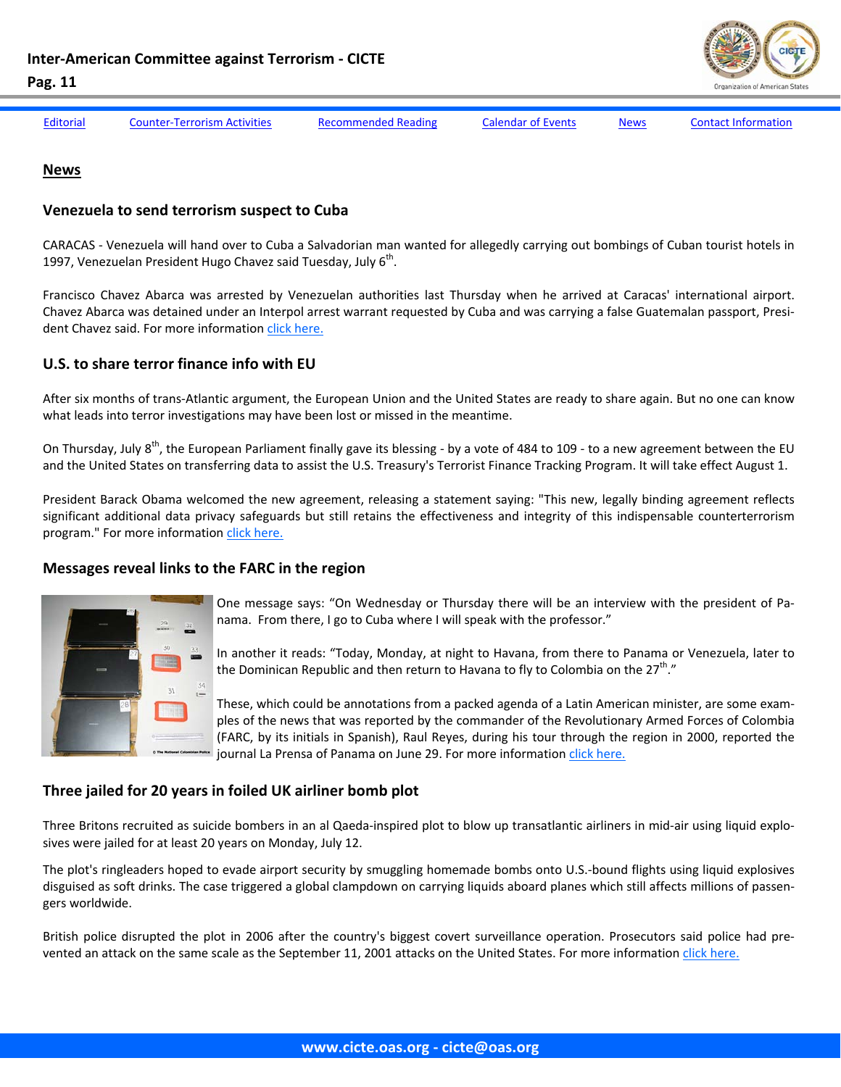

<span id="page-10-0"></span>

[Editorial](#page-1-0) Counter-[Terrorism](#page-3-0) Activities [Recommended](#page-8-0) Reading [Calendar](#page-9-0) of Events News Contact [Information](#page-13-0)

#### **News**

#### **Venezuela to send terrorism suspect to Cuba**

CARACAS ‐ Venezuela will hand over to Cuba a Salvadorian man wanted for allegedly carrying out bombings of Cuban tourist hotels in 1997, Venezuelan President Hugo Chavez said Tuesday, July  $6<sup>th</sup>$ .

Francisco Chavez Abarca was arrested by Venezuelan authorities last Thursday when he arrived at Caracas' international airport. Chavez Abarca was detained under an Interpol arrest warrant requested by Cuba and was carrying a false Guatemalan passport, Presi‐ dent Chavez said. For more information click [here.](http://www.torontosun.com/news/world/2010/07/07/14631521.html)

## **U.S. to share terror finance info with EU**

After six months of trans‐Atlantic argument, the European Union and the United States are ready to share again. But no one can know what leads into terror investigations may have been lost or missed in the meantime.

On Thursday, July  $8^{th}$ , the European Parliament finally gave its blessing - by a vote of 484 to 109 - to a new agreement between the EU and the United States on transferring data to assist the U.S. Treasury's Terrorist Finance Tracking Program. It will take effect August 1.

President Barack Obama welcomed the new agreement, releasing a statement saying: "This new, legally binding agreement reflects significant additional data privacy safeguards but still retains the effectiveness and integrity of this indispensable counterterrorism program." For more information click [here.](http://news.blogs.cnn.com/2010/07/08/u-s-to-share-terror-finance-info-with-e-u/)

## **Messages reveal links to the FARC in the region**



One message says: "On Wednesday or Thursday there will be an interview with the president of Pa‐ nama. From there, I go to Cuba where I will speak with the professor."

In another it reads: "Today, Monday, at night to Havana, from there to Panama or Venezuela, later to the Dominican Republic and then return to Havana to fly to Colombia on the  $27<sup>th</sup>$ ."

These, which could be annotations from a packed agenda of a Latin American minister, are some exam‐ ples of the news that was reported by the commander of the Revolutionary Armed Forces of Colombia (FARC, by its initials in Spanish), Raul Reyes, during his tour through the region in 2000, reported the journal La Prensa of Panama on June 29. For more information click [here.](http://www.elnuevoherald.com/2010/06/29/754717/mensajes-revelan-nexos-de-las.html)

## **Three jailed for 20 years in foiled UK airliner bomb plot**

Three Britons recruited as suicide bombers in an al Qaeda-inspired plot to blow up transatlantic airliners in mid-air using liquid explosives were jailed for at least 20 years on Monday, July 12.

The plot's ringleaders hoped to evade airport security by smuggling homemade bombs onto U.S.‐bound flights using liquid explosives disguised as soft drinks. The case triggered a global clampdown on carrying liquids aboard planes which still affects millions of passen‐ gers worldwide.

British police disrupted the plot in 2006 after the country's biggest covert surveillance operation. Prosecutors said police had pre‐ vented an attack on the same scale as the September 11, 2001 attacks on the United States. For more information click [here.](http://uk.reuters.com/article/idUKTRE66B45520100712)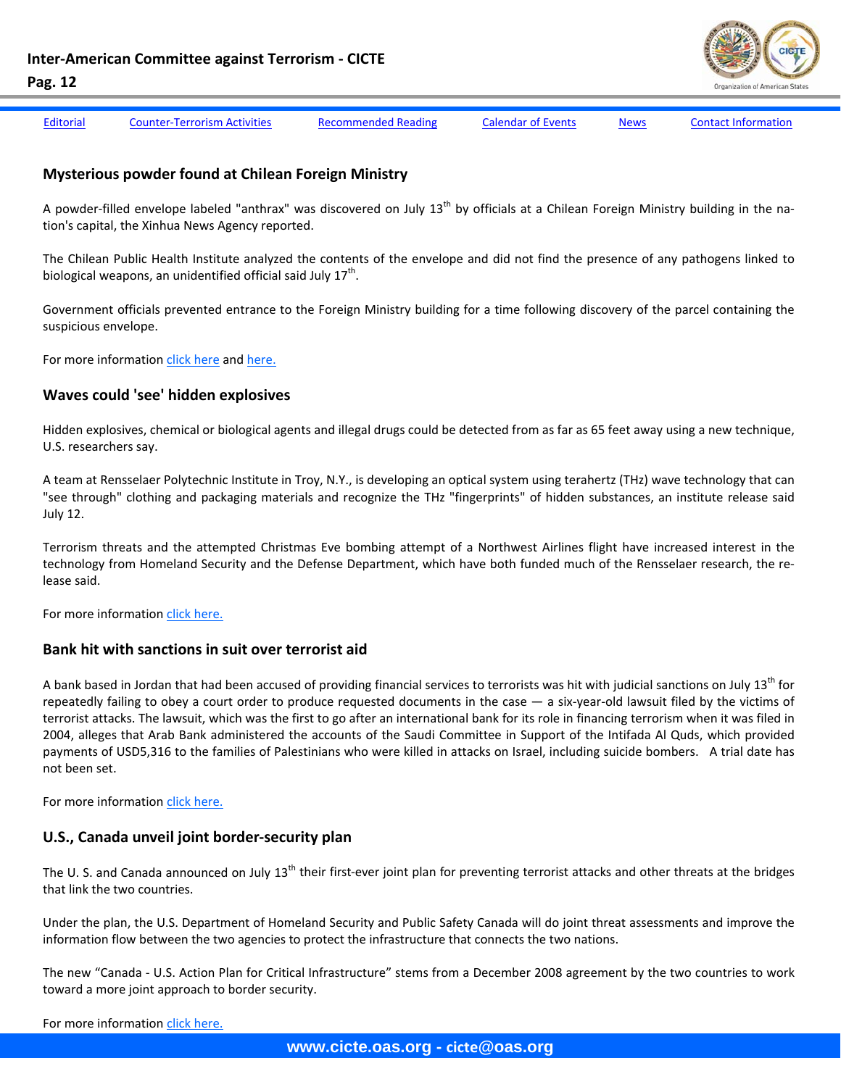

[Editorial](#page-1-0) Counter-[Terrorism](#page-3-0) Activities [Recommended](#page-8-0) Reading [Calendar](#page-9-0) of Events [News](#page-10-0) Contact [Information](#page-13-0)

#### **Mysterious powder found at Chilean Foreign Ministry**

A powder-filled envelope labeled "anthrax" was discovered on July 13<sup>th</sup> by officials at a Chilean Foreign Ministry building in the nation's capital, the Xinhua News Agency reported.

The Chilean Public Health Institute analyzed the contents of the envelope and did not find the presence of any pathogens linked to biological weapons, an unidentified official said July  $17<sup>th</sup>$ .

Government officials prevented entrance to the Foreign Ministry building for a time following discovery of the parcel containing the suspicious envelope.

For more information click [here](http://gsn.nti.org/gsn/nw_20100715_7418.php) and [here.](http://gsn.nti.org/gsn/nw_20100719_9115.php)

#### **Waves could 'see' hidden explosives**

Hidden explosives, chemical or biological agents and illegal drugs could be detected from as far as 65 feet away using a new technique, U.S. researchers say.

A team at Rensselaer Polytechnic Institute in Troy, N.Y., is developing an optical system using terahertz (THz) wave technology that can "see through" clothing and packaging materials and recognize the THz "fingerprints" of hidden substances, an institute release said July 12.

Terrorism threats and the attempted Christmas Eve bombing attempt of a Northwest Airlines flight have increased interest in the technology from Homeland Security and the Defense Department, which have both funded much of the Rensselaer research, the re‐ lease said.

For more information click [here.](http://www.upi.com/Science_News/2010/07/12/Waves-could-see-hidden-explosives/UPI-55461278959641/)

#### **Bank hit with sanctions in suit over terrorist aid**

A bank based in Jordan that had been accused of providing financial services to terrorists was hit with judicial sanctions on July 13<sup>th</sup> for repeatedly failing to obey a court order to produce requested documents in the case — a six-year-old lawsuit filed by the victims of terrorist attacks. The lawsuit, which was the first to go after an international bank for its role in financing terrorism when it was filed in 2004, alleges that Arab Bank administered the accounts of the Saudi Committee in Support of the Intifada Al Quds, which provided payments of USD5,316 to the families of Palestinians who were killed in attacks on Israel, including suicide bombers. A trial date has not been set.

For more information click [here.](http://www.nytimes.com/2010/07/14/nyregion/14terror.html?_r=1)

#### **U.S., Canada unveil joint border‐security plan**

The U. S. and Canada announced on July 13<sup>th</sup> their first-ever joint plan for preventing terrorist attacks and other threats at the bridges that link the two countries.

Under the plan, the U.S. Department of Homeland Security and Public Safety Canada will do joint threat assessments and improve the information flow between the two agencies to protect the infrastructure that connects the two nations.

The new "Canada ‐ U.S. Action Plan for Critical Infrastructure" stems from a December 2008 agreement by the two countries to work toward a more joint approach to border security.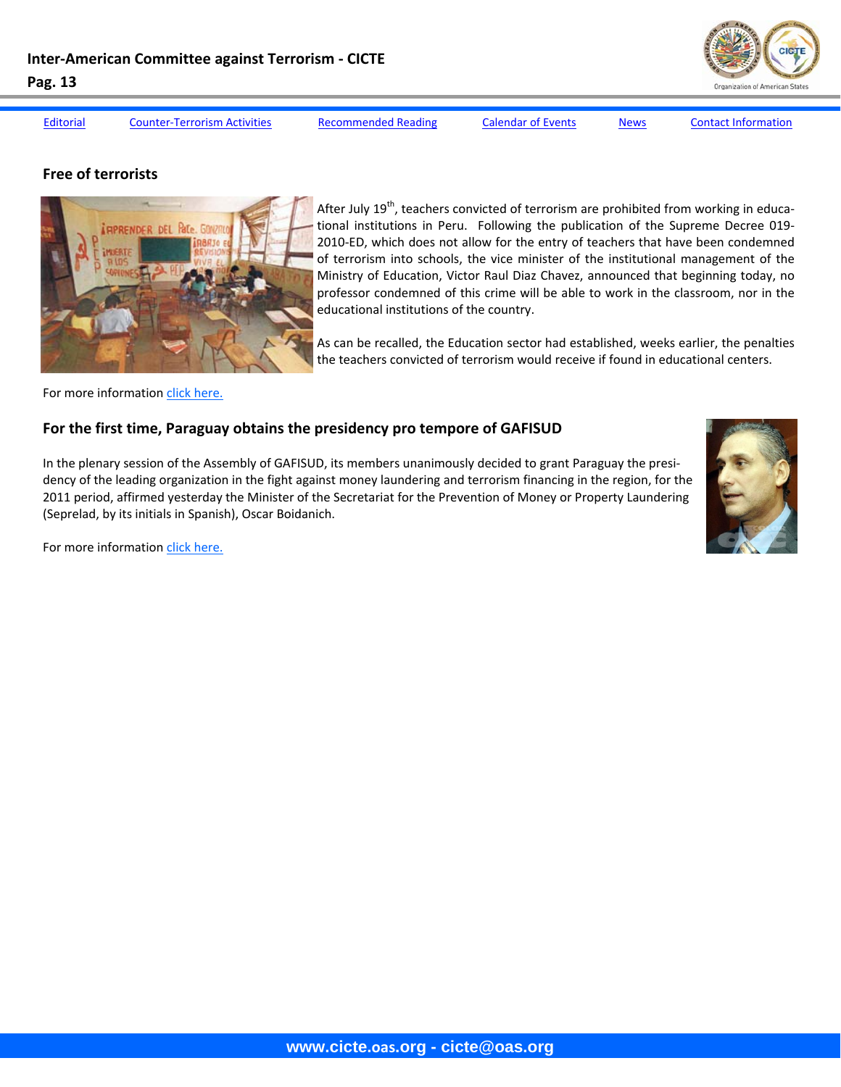[Editorial](#page-1-0) Counter-[Terrorism](#page-3-0) Activities [Recommended](#page-8-0) Reading [Calendar](#page-9-0) of Events [News](#page-10-0) Contact [Information](#page-13-0)

### **Free of terrorists**



After July  $19<sup>th</sup>$ , teachers convicted of terrorism are prohibited from working in educational institutions in Peru. Following the publication of the Supreme Decree 019-2010-ED, which does not allow for the entry of teachers that have been condemned of terrorism into schools, the vice minister of the institutional management of the Ministry of Education, Victor Raul Diaz Chavez, announced that beginning today, no professor condemned of this crime will be able to work in the classroom, nor in the educational institutions of the country.

As can be recalled, the Education sector had established, weeks earlier, the penalties the teachers convicted of terrorism would receive if found in educational centers.

For more information click [here.](http://www.expreso.com.pe/edicion/index.php?option=com_content&task=view&id=108458&Itemid=32)

## **For the first time, Paraguay obtains the presidency pro tempore of GAFISUD**

In the plenary session of the Assembly of GAFISUD, its members unanimously decided to grant Paraguay the presi‐ dency of the leading organization in the fight against money laundering and terrorism financing in the region, for the 2011 period, affirmed yesterday the Minister of the Secretariat for the Prevention of Money or Property Laundering (Seprelad, by its initials in Spanish), Oscar Boidanich.



For more information click [here.](http://abc.com.py/abc/nota/158429-Por-primera-vez-Paraguay-obtuvo-la-presidencia-pro-tempore-de-Gafisud/)